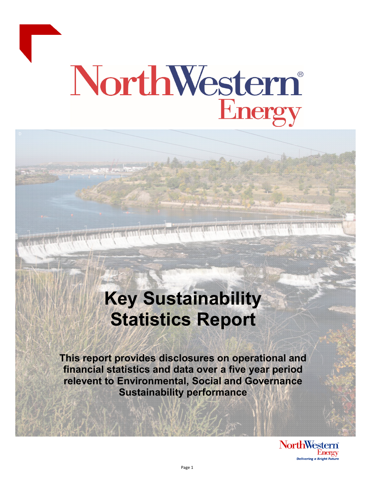

# NorthWestern®

# **Key Sustainability Statistics Report**

**This report provides disclosures on operational and financial statistics and data over a five year period relevent to Environmental, Social and Governance Sustainability performance** 

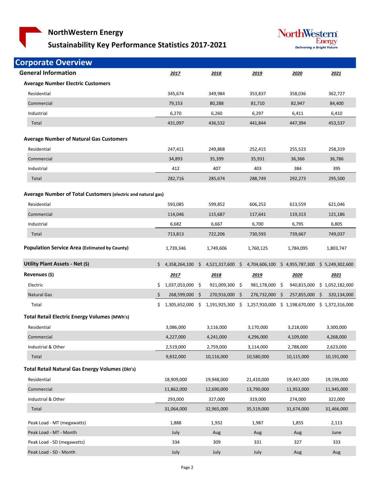### **Sustainability Key Performance Statistics 2017‐2021**



| <b>Corporate Overview</b>                                    |     |                     |                 |                |                |                |                                                 |
|--------------------------------------------------------------|-----|---------------------|-----------------|----------------|----------------|----------------|-------------------------------------------------|
| <b>General Information</b>                                   |     | 2017                | 2018            |                | 2019           | 2020           | 2021                                            |
| <b>Average Number Electric Customers</b>                     |     |                     |                 |                |                |                |                                                 |
| Residential                                                  |     | 345,674             | 349,984         |                | 353,837        | 358,036        | 362,727                                         |
| Commercial                                                   |     | 79,153              | 80,288          |                | 81,710         | 82,947         | 84,400                                          |
| Industrial                                                   |     | 6,270               | 6,260           |                | 6,297          | 6,411          | 6,410                                           |
| Total                                                        |     | 431,097             | 436,532         |                | 441,844        | 447,394        | 453,537                                         |
| <b>Average Number of Natural Gas Customers</b>               |     |                     |                 |                |                |                |                                                 |
| Residential                                                  |     | 247,411             | 249,868         |                | 252,415        | 255,523        | 258,319                                         |
| Commercial                                                   |     | 34,893              | 35,399          |                | 35,931         | 36,366         | 36,786                                          |
| Industrial                                                   |     | 412                 | 407             |                | 403            | 384            | 395                                             |
| Total                                                        |     | 282,716             | 285,674         |                | 288,749        | 292,273        | 295,500                                         |
|                                                              |     |                     |                 |                |                |                |                                                 |
| Average Number of Total Customers (electric and natural gas) |     |                     |                 |                |                |                |                                                 |
| Residential                                                  |     | 593,085             | 599,852         |                | 606,252        | 613,559        | 621,046                                         |
| Commercial                                                   |     | 114,046             | 115,687         |                | 117,641        | 119,313        | 121,186                                         |
| Industrial                                                   |     | 6,682               | 6,667           |                | 6,700          | 6,795          | 6,805                                           |
| Total                                                        |     | 713,813             | 722,206         |                | 730,593        | 739,667        | 749,037                                         |
| <b>Population Service Area (Estimated by County)</b>         |     | 1,739,346           | 1,749,606       |                | 1,760,125      | 1,784,095      | 1,803,747                                       |
| Utility Plant Assets - Net (\$)                              |     | \$4,358,264,100     | \$4,521,317,600 | S.             | 4,704,606,100  |                | \$4,955,787,300 \$5,249,302,600                 |
| Revenues (\$)                                                |     | 2017                | 2018            |                | 2019           | 2020           | 2021                                            |
| Electric                                                     |     | $$1,037,053,000$ \$ | 921,009,300 \$  |                | 981,178,000 \$ | 940,815,000    | \$1,052,182,000                                 |
| <b>Natural Gas</b>                                           | \$  | 268,599,000 \$      | 270,916,000 \$  |                | 276,732,000 \$ | 257,855,000 \$ | 320,134,000                                     |
| Total                                                        | \$. | 1,305,652,000 \$    | 1,191,925,300   | $\ddot{\zeta}$ |                |                | 1,257,910,000 \$ 1,198,670,000 \$ 1,372,316,000 |
| <b>Total Retail Electric Energy Volumes (MWh's)</b>          |     |                     |                 |                |                |                |                                                 |
| Residential                                                  |     | 3,086,000           | 3,116,000       |                | 3,170,000      | 3,218,000      | 3,300,000                                       |
| Commercial                                                   |     | 4,227,000           | 4,241,000       |                | 4,296,000      | 4,109,000      | 4,268,000                                       |
| Industrial & Other                                           |     | 2,519,000           | 2,759,000       |                | 3,114,000      | 2,788,000      | 2,623,000                                       |
| Total                                                        |     | 9,832,000           | 10,116,000      |                | 10,580,000     | 10,115,000     | 10,191,000                                      |
| <b>Total Retail Natural Gas Energy Volumes (Dkt's)</b>       |     |                     |                 |                |                |                |                                                 |
| Residential                                                  |     | 18,909,000          | 19,948,000      |                | 21,410,000     | 19,447,000     | 19,199,000                                      |
| Commercial                                                   |     | 11,862,000          | 12,690,000      |                | 13,790,000     | 11,953,000     | 11,945,000                                      |
|                                                              |     |                     | 327,000         |                | 319,000        | 274,000        | 322,000                                         |
| Industrial & Other                                           |     | 293,000             |                 |                |                |                |                                                 |
| Total                                                        |     | 31,064,000          | 32,965,000      |                | 35,519,000     | 31,674,000     | 31,466,000                                      |
|                                                              |     |                     |                 |                |                |                |                                                 |
| Peak Load - MT (megawatts)                                   |     | 1,888               | 1,932           |                | 1,987          | 1,855          | 2,113                                           |
| Peak Load - MT - Month<br>Peak Load - SD (megawatts)         |     | July<br>334         | Aug<br>309      |                | Aug<br>331     | Aug<br>327     | June<br>333                                     |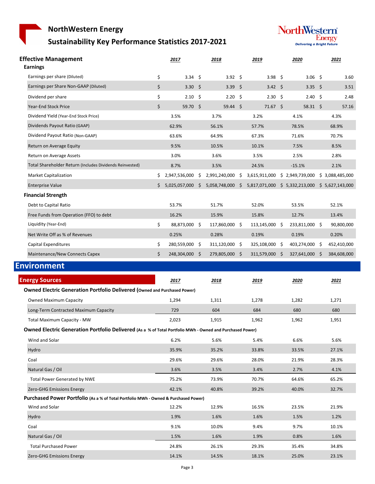# **Sustainability Key Performance Statistics 2017‐2021**



| <b>Effective Management</b><br><b>Earnings</b>                                                            |    | 2017              | 2018                   | 2019                                                                              | 2020            | 2021        |
|-----------------------------------------------------------------------------------------------------------|----|-------------------|------------------------|-----------------------------------------------------------------------------------|-----------------|-------------|
| Earnings per share (Diluted)                                                                              | \$ | $3.34 \quad $$    | 3.92 \$                | 3.98 \$                                                                           | 3.06 \$         | 3.60        |
| Earnings per Share Non-GAAP (Diluted)                                                                     | \$ | 3.30 <sub>5</sub> | 3.39 <sup>5</sup>      | $3.42 \quad$ \$                                                                   | 3.35 \$         | 3.51        |
| Dividend per share                                                                                        | \$ | $2.10\frac{1}{5}$ | $2.20\frac{1}{2}$      | $2.30 \div$                                                                       | 2.40S           | 2.48        |
| Year-End Stock Price                                                                                      | \$ | 59.70 \$          | $59.44 \quad $$        | $71.67$ \$                                                                        | $58.31 \quad $$ | 57.16       |
| Dividend Yield (Year-End Stock Price)                                                                     |    | 3.5%              | 3.7%                   | 3.2%                                                                              | 4.1%            | 4.3%        |
| Dividends Payout Ratio (GAAP)                                                                             |    | 62.9%             | 56.1%                  | 57.7%                                                                             | 78.5%           | 68.9%       |
| Dividend Payout Ratio (Non-GAAP)                                                                          |    | 63.6%             | 64.9%                  | 67.3%                                                                             | 71.6%           | 70.7%       |
| Return on Average Equity                                                                                  |    | 9.5%              | 10.5%                  | 10.1%                                                                             | 7.5%            | 8.5%        |
| Return on Average Assets                                                                                  |    | 3.0%              | 3.6%                   | 3.5%                                                                              | 2.5%            | 2.8%        |
| Total Shareholder Return (Includes Dividends Reinvested)                                                  |    | 8.7%              | 3.5%                   | 24.5%                                                                             | $-15.1%$        | 2.1%        |
| <b>Market Capitalization</b>                                                                              | \$ | 2,947,536,000     | \$<br>2,991,240,000 \$ | 3,615,911,000 \$ 2,949,739,000 \$ 3,088,485,000                                   |                 |             |
| <b>Enterprise Value</b>                                                                                   | \$ |                   |                        | 5,025,057,000 \$ 5,058,748,000 \$ 5,817,071,000 \$ 5,332,213,000 \$ 5,627,143,000 |                 |             |
| <b>Financial Strength</b>                                                                                 |    |                   |                        |                                                                                   |                 |             |
| Debt to Capital Ratio                                                                                     |    | 53.7%             | 51.7%                  | 52.0%                                                                             | 53.5%           | 52.1%       |
| Free Funds from Operation (FFO) to debt                                                                   |    | 16.2%             | 15.9%                  | 15.8%                                                                             | 12.7%           | 13.4%       |
| Liquidity (Year-End)                                                                                      | \$ | 88,873,000 \$     | 117,860,000 \$         | 113,145,000 \$                                                                    | 233,811,000 \$  | 90,800,000  |
| Net Write Off as % of Revenues                                                                            |    | 0.25%             | 0.28%                  | 0.19%                                                                             | 0.19%           | 0.20%       |
| Capital Expenditures                                                                                      | \$ | 280,559,000 \$    | 311,120,000 \$         | 325,108,000 \$                                                                    | 403,274,000 \$  | 452,410,000 |
| Maintenance/New Connects Capex                                                                            | Ś. | 248,304,000 \$    | 279,805,000 \$         | 311,579,000 \$                                                                    | 327,641,000 \$  | 384,608,000 |
| <b>Environment</b>                                                                                        |    |                   |                        |                                                                                   |                 |             |
| <b>Energy Sources</b>                                                                                     |    | 2017              | 2018                   | <u> 2019</u>                                                                      | 2020            | 2021        |
| <b>Owned Electric Generation Portfolio Delivered (Owned and Purchased Power)</b>                          |    |                   |                        |                                                                                   |                 |             |
| <b>Owned Maximum Capacity</b>                                                                             |    | 1,294             | 1,311                  | 1,278                                                                             | 1,282           | 1,271       |
| Long-Term Contracted Maximum Capacity                                                                     |    | 729               | 604                    | 684                                                                               | 680             | 680         |
| Total Maximum Capacity - MW                                                                               |    | 2,023             | 1,915                  | 1,962                                                                             | 1,962           | 1,951       |
| Owned Electric Generation Portfolio Delivered (As a % of Total Portfolio MWh - Owned and Purchased Power) |    |                   |                        |                                                                                   |                 |             |
| Wind and Solar                                                                                            |    | 6.2%              | 5.6%                   | 5.4%                                                                              | 6.6%            | 5.6%        |
| Hydro                                                                                                     |    | 35.9%             | 35.2%                  | 33.8%                                                                             | 33.5%           | 27.1%       |
| Coal                                                                                                      |    | 29.6%             | 29.6%                  | 28.0%                                                                             | 21.9%           | 28.3%       |
| Natural Gas / Oil                                                                                         |    | 3.6%              | 3.5%                   | 3.4%                                                                              | 2.7%            | 4.1%        |
| <b>Total Power Generated by NWE</b>                                                                       |    | 75.2%             | 73.9%                  | 70.7%                                                                             | 64.6%           | 65.2%       |
| Zero-GHG Emissions Energy                                                                                 |    | 42.1%             | 40.8%                  | 39.2%                                                                             | 40.0%           | 32.7%       |
| Purchased Power Portfolio (As a % of Total Portfolio MWh - Owned & Purchased Power)                       |    |                   |                        |                                                                                   |                 |             |
| Wind and Solar                                                                                            |    | 12.2%             | 12.9%                  | 16.5%                                                                             | 23.5%           | 21.9%       |
| Hydro                                                                                                     |    | 1.9%              | 1.6%                   | 1.6%                                                                              | 1.5%            | 1.2%        |
| Coal                                                                                                      |    | 9.1%              | 10.0%                  | 9.4%                                                                              | 9.7%            | 10.1%       |
| Natural Gas / Oil                                                                                         |    | 1.5%              | 1.6%                   | 1.9%                                                                              | 0.8%            | 1.6%        |
| <b>Total Purchased Power</b>                                                                              |    |                   |                        |                                                                                   |                 |             |
|                                                                                                           |    | 24.8%             | 26.1%                  | 29.3%                                                                             | 35.4%           | 34.8%       |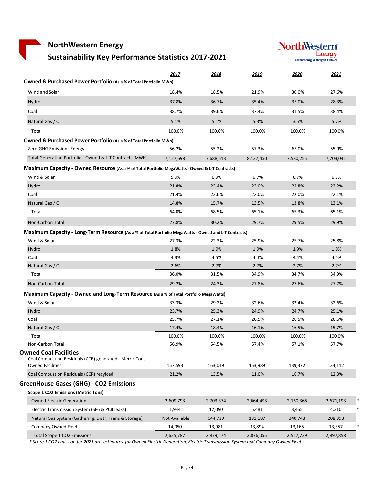## **Sustainability Key Performance Statistics 2017‐2021**



|                                                                                                                      | 2017          | 2018      | 2019      | 2020             | 2021      |
|----------------------------------------------------------------------------------------------------------------------|---------------|-----------|-----------|------------------|-----------|
| <b>Owned &amp; Purchased Power Portfolio (As a % of Total Portfolio MWh)</b>                                         |               |           |           |                  |           |
| Wind and Solar                                                                                                       | 18.4%         | 18.5%     | 21.9%     | 30.0%            | 27.6%     |
| Hydro                                                                                                                | 37.8%         | 36.7%     | 35.4%     | 35.0%            | 28.3%     |
| Coal                                                                                                                 | 38.7%         | 39.6%     | 37.4%     | 31.5%            | 38.4%     |
| Natural Gas / Oil                                                                                                    | 5.1%          | 5.1%      | 5.3%      | 3.5%             | 5.7%      |
| Total                                                                                                                | 100.0%        | 100.0%    | 100.0%    | 100.0%           | 100.0%    |
| <b>Owned &amp; Purchased Power Portfolio (As a % of Total Portfolio MWh)</b>                                         |               |           |           |                  |           |
| Zero-GHG Emissions Energy                                                                                            | 56.2%         | 55.2%     | 57.3%     | 65.0%            | 55.9%     |
| Total Generation Portfolio - Owned & L-T Contracts (MWh)                                                             | 7,127,698     | 7,688,513 | 8,137,450 | 7,580,255        | 7,703,041 |
| Maximum Capacity - Owned Resource (As a % of Total Portfolio MegaWatts - Owned & L-T Contracts)                      |               |           |           |                  |           |
| Wind & Solar                                                                                                         | 5.9%          | 6.9%      | 6.7%      | 6.7%             | 6.7%      |
| Hydro                                                                                                                | 21.8%         | 23.4%     | 23.0%     | 22.8%            | 23.2%     |
| Coal                                                                                                                 | 21.4%         | 22.6%     | 22.0%     | 22.0%            | 22.1%     |
| Natural Gas / Oil                                                                                                    | 14.8%         | 15.7%     | 13.5%     | 13.8%            | 13.1%     |
| Total                                                                                                                | 64.0%         | 68.5%     | 65.1%     | 65.3%            | 65.1%     |
| Non-Carbon Total                                                                                                     | 27.8%         | 30.2%     | 29.7%     | 29.5%            | 29.9%     |
| Maximum Capacity - Long-Term Resource (As a % of Total Portfolio MegaWatts - Owned and L-T Contracts)                |               |           |           |                  |           |
| Wind & Solar                                                                                                         | 27.3%         | 22.3%     | 25.9%     | 25.7%            | 25.8%     |
| Hydro                                                                                                                | 1.8%          | 1.9%      | 1.9%      | 1.9%             | 1.9%      |
| Coal                                                                                                                 | 4.3%          | 4.5%      | 4.4%      | 4.4%             | 4.5%      |
| Natural Gas / Oil                                                                                                    | 2.6%          | 2.7%      | 2.7%      | 2.7%             | 2.7%      |
| Total                                                                                                                | 36.0%         | 31.5%     | 34.9%     | 34.7%            | 34.9%     |
| Non-Carbon Total                                                                                                     | 29.2%         | 24.3%     | 27.8%     | 27.6%            | 27.7%     |
| Maximum Capacity - Owned and Long-Term Resource (As a % of Total Portfolio MegaWatts)                                |               |           |           |                  |           |
| Wind & Solar                                                                                                         | 33.3%         | 29.2%     | 32.6%     | 32.4%            | 32.6%     |
| Hydro                                                                                                                | 23.7%         | 25.3%     | 24.9%     | 24.7%            | 25.1%     |
| Coal                                                                                                                 | 25.7%         | 27.1%     | 26.5%     | 26.5%            | 26.6%     |
| Natural Gas / Oil                                                                                                    | 17.4%         | 18.4%     | 16.1%     | 16.5%            | 15.7%     |
| Total                                                                                                                | 100.0%        | 100.0%    | 100.0%    | 100.0%           | 100.0%    |
| Non-Carbon Total                                                                                                     | 56.9%         | 54.5%     | 57.4%     | 57.1%            | 57.7%     |
| <b>Owned Coal Facilities</b><br>Coal Combustion Residuals (CCR) generated - Metric Tons -<br><b>Owned Facilities</b> | 157,593       | 163,049   | 163,989   | 139,372          | 134,112   |
| Coal Combustion Residuals (CCR) recylced                                                                             | 21.2%         | 13.5%     | 11.0%     | 10.7%            | 12.3%     |
| <b>GreenHouse Gases (GHG) - CO2 Emissions</b>                                                                        |               |           |           |                  |           |
| <b>Scope 1 CO2 Emissions (Metric Tons)</b>                                                                           |               |           |           |                  |           |
| <b>Owned Electric Generation</b>                                                                                     | 2,609,793     | 2,703,374 | 2,664,493 | 2,160,366        | 2,671,193 |
| Electric Transmission System (SF6 & PCB leaks)                                                                       | 1,944         | 17,090    | 6,481     |                  | 4,310     |
| Natural Gas System (Gathering, Distr, Trans & Storage)                                                               | Not Available | 144,729   | 191,187   | 3,455<br>340,743 | 208,998   |
| Company Owned Fleet                                                                                                  | 14,050        | 13,981    | 13,894    | 13,165           | 13,357    |
| Total Scope 1 CO2 Emissions                                                                                          | 2,625,787     | 2,879,174 | 2,876,055 | 2,517,729        | 2,897,858 |
|                                                                                                                      |               |           |           |                  |           |

\* Score 1 CO2 emission for 2021 are estimates for Owned Electric Generation, Electric Transmission System and Company Owned Fleet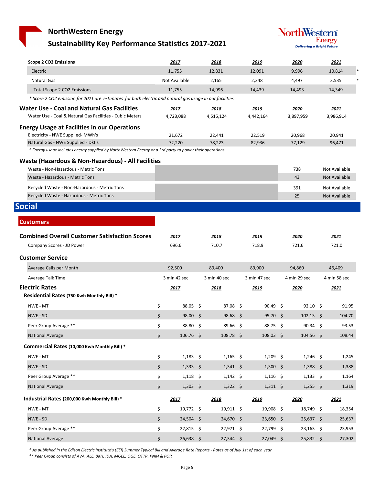### **Sustainability Key Performance Statistics 2017‐2021**



| <b>Scope 2 CO2 Emissions</b>                                                                                   | <u> 2017</u>           | 2018                   | 2019                   | 2020              | 2021                 |
|----------------------------------------------------------------------------------------------------------------|------------------------|------------------------|------------------------|-------------------|----------------------|
| Electric                                                                                                       | 11,755                 | 12,831                 | 12,091                 | 9,996             | 10,814               |
| <b>Natural Gas</b>                                                                                             | Not Available          | 2,165                  | 2,348                  | 4,497             | 3,535                |
| <b>Total Scope 2 CO2 Emissions</b>                                                                             | 11,755                 | 14,996                 | 14,439                 | 14,493            | 14,349               |
| * Score 2 CO2 emission for 2021 are estimates for both electric and natural gas usage in our facilities        |                        |                        |                        |                   |                      |
| <b>Water Use - Coal and Natural Gas Facilities</b><br>Water Use - Coal & Natural Gas Facilities - Cubic Meters | 2017<br>4,723,088      | 2018<br>4,515,124      | 2019<br>4,442,164      | 2020<br>3,897,959 | 2021<br>3,986,914    |
| <b>Energy Usage at Facilities in our Operations</b><br>Electricity - NWE Supplied- MWh's                       | 21,672                 | 22,441                 | 22,519                 | 20,968            | 20,941               |
| Natural Gas - NWE Supplied - Dkt's                                                                             | 72,220                 | 78,223                 | 82,936                 | 77,129            | 96,471               |
| * Energy usage includes energy supplied by NorthWestern Energy or a 3rd party to power their operations        |                        |                        |                        |                   |                      |
| Waste (Hazardous & Non-Hazardous) - All Facilities                                                             |                        |                        |                        |                   |                      |
| Waste - Non-Hazardous - Metric Tons                                                                            |                        |                        |                        | 738               | Not Available        |
| Waste - Hazardous - Metric Tons                                                                                |                        |                        |                        | 43                | <b>Not Available</b> |
| Recycled Waste - Non-Hazardous - Metric Tons                                                                   |                        |                        |                        | 391               | Not Available        |
| Recycled Waste - Hazardous - Metric Tons                                                                       |                        |                        |                        | 25                | <b>Not Available</b> |
| <b>Social</b>                                                                                                  |                        |                        |                        |                   |                      |
| <b>Customers</b>                                                                                               |                        |                        |                        |                   |                      |
|                                                                                                                |                        |                        |                        |                   |                      |
| <b>Combined Overall Customer Satisfaction Scores</b>                                                           | 2017                   | 2018                   | 2019                   | 2020              | 2021                 |
| Company Scores - JD Power                                                                                      | 696.6                  | 710.7                  | 718.9                  | 721.6             | 721.0                |
| <b>Customer Service</b>                                                                                        |                        |                        |                        |                   |                      |
| Average Calls per Month                                                                                        | 92,500                 | 89,400                 | 89,900                 | 94,860            | 46,409               |
| Average Talk Time                                                                                              | 3 min 42 sec           | 3 min 40 sec           | 3 min 47 sec           | 4 min 29 sec      | 4 min 58 sec         |
| <b>Electric Rates</b><br>Residential Rates (750 Kwh Monthly Bill) *                                            | 2017                   | 2018                   | 2019                   | 2020              | 2021                 |
| NWE - MT                                                                                                       | \$<br>$88.05 \quad$ \$ | $87.08 \quad $$        | $90.49 \quad $$        | $92.10 \quad$ \$  | 91.95                |
| NWE - SD                                                                                                       | \$<br>$98.00 \quad $$  | 98.68 \$               | $95.70 \quad S$        | $102.13 \quad$ \$ | 104.70               |
| Peer Group Average **                                                                                          | \$<br>88.80 \$         | 89.66 \$               | $88.75$ \$             | $90.34 \quad $$   | 93.53                |
| <b>National Average</b>                                                                                        | \$<br>106.76 \$        | $108.78 \; \text{S}$   | $108.03 \quad $$       | $104.56$ \$       | 108.44               |
| Commercial Rates (10,000 Kwh Monthly Bill) *                                                                   |                        |                        |                        |                   |                      |
| NWE - MT                                                                                                       | \$<br>$1,183$ \$       | $1,165$ \$             | $1,209$ \$             | $1,246$ \$        | 1,245                |
| NWE - SD                                                                                                       | \$<br>$1,333$ \$       | $1,341 \; \; \; \;$ \$ | $1,300$ \$             | $1,388$ \$        | 1,388                |
| Peer Group Average **                                                                                          | \$<br>$1,118$ \$       | $1,142$ \$             | $1,116$ \$             | $1,133$ \$        | 1,164                |
| <b>National Average</b>                                                                                        | \$<br>$1,303$ \$       | $1,322$ \$             | $1,311 \; \; \; \;$ \$ | $1,255$ \$        | 1,319                |
| Industrial Rates (200,000 Kwh Monthly Bill) *                                                                  | 2017                   | 2018                   | 2019                   | 2020              | 2021                 |
| NWE - MT                                                                                                       | \$<br>19,772 \$        | 19,911 \$              | 19,908 \$              | 18,749 \$         | 18,354               |
| NWE - SD                                                                                                       | \$<br>24,504 \$        | 24,670 \$              | $23,650$ \$            | $25,637$ \$       | 25,637               |
| Peer Group Average **                                                                                          | \$<br>22,815 \$        | 22,971 \$              | 22,799 \$              | $23,163$ \$       | 23,953               |
| <b>National Average</b>                                                                                        | \$<br>26,638 \$        | $27,344$ \$            | 27,049 \$              | 25,832 \$         | 27,302               |

\* As published in the Edison Electric Institute's (EEI) Summer Typical Bill and Average Rate Reports - Rates as of July 1st of each year

*\*\* Peer Group consists of AVA, ALE, BKH, IDA, MGEE, OGE, OTTR, PNM & POR*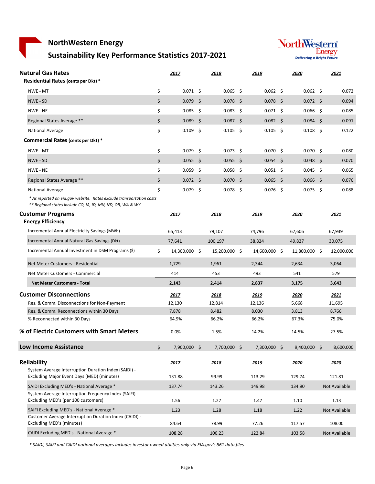# **Sustainability Key Performance Statistics 2017‐2021**



| <b>Natural Gas Rates</b><br><b>Residential Rates (cents per Dkt) *</b>                                                                                 | 2017                  | 2018             |      | 2019             | 2020             | 2021          |
|--------------------------------------------------------------------------------------------------------------------------------------------------------|-----------------------|------------------|------|------------------|------------------|---------------|
| NWE - MT                                                                                                                                               | \$<br>$0.071 \quad $$ | 0.065            | - \$ | $0.062$ \$       | $0.062 \quad $$  | 0.072         |
| NWE - SD                                                                                                                                               | \$<br>$0.079$ \$      | $0.078$ \$       |      | $0.078$ \$       | $0.072 \quad $$  | 0.094         |
| NWE - NE                                                                                                                                               | \$<br>$0.085$ \$      | $0.083 \quad$ \$ |      | $0.071$ \$       | $0.066$ \$       | 0.085         |
| Regional States Average **                                                                                                                             | \$<br>$0.089$ \$      | $0.087$ \$       |      | $0.082 \quad $$  | $0.084$ \$       | 0.091         |
| National Average                                                                                                                                       | \$<br>$0.109$ \$      | $0.105$ \$       |      | $0.105 \quad$ \$ | $0.108 \quad $$  | 0.122         |
| Commercial Rates (cents per Dkt) *                                                                                                                     |                       |                  |      |                  |                  |               |
| NWE - MT                                                                                                                                               | \$<br>$0.079$ \$      | $0.073 \quad $$  |      | $0.070 \pm 5$    | $0.070 \quad $$  | 0.080         |
| NWE - SD                                                                                                                                               | \$<br>$0.055$ \$      | $0.055$ \$       |      | $0.054$ \$       | $0.048 \quad$ \$ | 0.070         |
| NWE - NE                                                                                                                                               | \$<br>$0.059$ \$      | $0.058$ \$       |      | $0.051 \quad $$  | $0.045$ \$       | 0.065         |
| Regional States Average **                                                                                                                             | \$<br>$0.072 \quad $$ | $0.070$ \$       |      | $0.065$ \$       | $0.066$ \$       | 0.076         |
|                                                                                                                                                        | \$<br>$0.079$ \$      |                  |      |                  | $0.075$ \$       |               |
| National Average<br>* As reported on eia.gov website. Rates exclude transportation costs<br>** Regional states include CO, IA, ID, MN, ND, OR, WA & WY |                       | $0.078 \quad$ \$ |      | $0.076$ \$       |                  | 0.088         |
| <b>Customer Programs</b><br><b>Energy Efficiency</b>                                                                                                   | 2017                  | 2018             |      | 2019             | 2020             | 2021          |
| Incremental Annual Electricity Savings (MWh)                                                                                                           | 65,413                | 79,107           |      | 74,796           | 67,606           | 67,939        |
| Incremental Annual Natural Gas Savings (Dkt)                                                                                                           | 77,641                | 100,197          |      | 38,824           | 49,827           | 30,075        |
| Incremental Annual Investment in DSM Programs (\$)                                                                                                     | \$<br>14,300,000 \$   | 15,200,000 \$    |      | 14,600,000 \$    | 11,800,000 \$    | 12,000,000    |
| Net Meter Customers - Residential                                                                                                                      | 1,729                 | 1,961            |      | 2,344            | 2,634            | 3,064         |
| Net Meter Customers - Commercial                                                                                                                       | 414                   | 453              |      | 493              | 541              | 579           |
| <b>Net Meter Customers - Total</b>                                                                                                                     | 2,143                 | 2,414            |      | 2,837            | 3,175            | 3,643         |
| <b>Customer Disconnections</b>                                                                                                                         | 2017                  | 2018             |      | 2019             | 2020             | 2021          |
| Res. & Comm. Disconnections for Non-Payment                                                                                                            | 12,130                | 12,814           |      | 12,136           | 5,668            | 11,695        |
| Res. & Comm. Reconnections within 30 Days                                                                                                              | 7,878                 | 8,482            |      | 8,030            | 3,813            | 8,766         |
| % Reconnected within 30 Days                                                                                                                           | 64.9%                 | 66.2%            |      | 66.2%            | 67.3%            | 75.0%         |
| % of Electric Customers with Smart Meters                                                                                                              | 0.0%                  | 1.5%             |      | 14.2%            | 14.5%            | 27.5%         |
| <b>Low Income Assistance</b>                                                                                                                           | \$<br>7,900,000 \$    | 7,700,000 \$     |      | $7,300,000$ \$   | $9,400,000$ \$   | 8,600,000     |
| Reliability                                                                                                                                            | <u> 2017 </u>         | <u> 2018 </u>    |      | <u> 2019 </u>    | 2020             | 2020          |
| System Average Interruption Duration Index (SAIDI) -                                                                                                   |                       |                  |      |                  |                  |               |
| Excluding Major Event Days (MED) (minutes)                                                                                                             | 131.88                | 99.99            |      | 113.29           | 129.74           | 121.81        |
| SAIDI Excluding MED's - National Average *                                                                                                             | 137.74                | 143.26           |      | 149.98           | 134.90           | Not Available |
| System Average Interruption Frequency Index (SAIFI) -<br>Excluding MED's (per 100 customers)                                                           | 1.56                  | 1.27             |      | 1.47             | 1.10             | 1.13          |
| SAIFI Excluding MED's - National Average *<br>Customer Average Interruption Duration Index (CAIDI) -                                                   | 1.23                  | 1.28             |      | 1.18             | 1.22             | Not Available |
| Excluding MED's (minutes)                                                                                                                              | 84.64                 | 78.99            |      | 77.26            | 117.57           | 108.00        |
| CAIDI Excluding MED's - National Average *                                                                                                             | 108.28                | 100.23           |      | 122.84           | 103.58           | Not Available |

\* SAIDI, SAIFI and CAIDI national averages includes investor owned utilities only via EIA.gov's 861 data files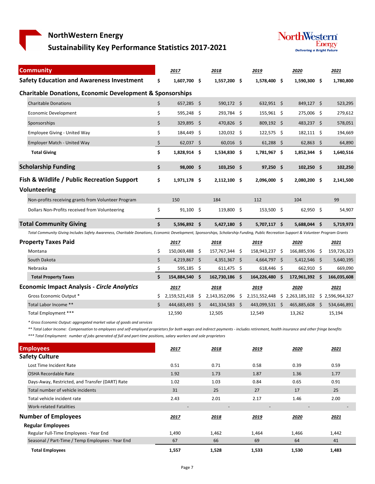**Sustainability Key Performance Statistics 2017‐2021**



| <b>Community</b>                                                                                                                                                                      |                    | 2017           |    | 2018                                                             |     | 2019           | 2020           | 2021        |
|---------------------------------------------------------------------------------------------------------------------------------------------------------------------------------------|--------------------|----------------|----|------------------------------------------------------------------|-----|----------------|----------------|-------------|
| <b>Safety Education and Awareness Investment</b>                                                                                                                                      | \$                 | 1.607.700 \$   |    | 1,557,200 \$                                                     |     | 1,578,400 \$   | 1,590,300 \$   | 1,780,800   |
| <b>Charitable Donations, Economic Development &amp; Sponsorships</b>                                                                                                                  |                    |                |    |                                                                  |     |                |                |             |
| <b>Charitable Donations</b>                                                                                                                                                           | \$                 | $657,285$ \$   |    | 590,172 \$                                                       |     | 632,951 \$     | 849,127 \$     | 523,295     |
| <b>Economic Development</b>                                                                                                                                                           | \$                 | 595,248 \$     |    | 293,784 \$                                                       |     | 155,961 \$     | 275,006 \$     | 279,612     |
| Sponsorships                                                                                                                                                                          | \$                 | 329,895 \$     |    | 470,826 \$                                                       |     | 809,192 \$     | 483,237 \$     | 578,051     |
| <b>Employee Giving - United Way</b>                                                                                                                                                   | \$                 | 184,449        | Ŝ. | 120,032 \$                                                       |     | 122,575 \$     | 182,111 \$     | 194,669     |
| <b>Employer Match - United Way</b>                                                                                                                                                    | \$                 | $62,037$ \$    |    | $60,016$ \$                                                      |     | $61,288$ \$    | $62,863$ \$    | 64,890      |
| <b>Total Giving</b>                                                                                                                                                                   | \$                 | 1,828,914 \$   |    | 1,534,830                                                        | -\$ | 1,781,967 \$   | 1,852,344 \$   | 1,640,516   |
| <b>Scholarship Funding</b>                                                                                                                                                            | \$                 | 98,000 \$      |    | $103,250$ \$                                                     |     | $97,250$ \$    | $102,250$ \$   | 102,250     |
| Fish & Wildlife / Public Recreation Support                                                                                                                                           | \$                 | 1,971,178 \$   |    | 2,112,100 \$                                                     |     | 2,096,000 \$   | 2,080,200 \$   | 2,141,500   |
| <b>Volunteering</b>                                                                                                                                                                   |                    |                |    |                                                                  |     |                |                |             |
| Non-profits receiving grants from Volunteer Program                                                                                                                                   |                    | 150            |    | 184                                                              |     | 112            | 104            | 99          |
| Dollars Non-Profits received from Volunteering                                                                                                                                        | \$                 | $91,100$ \$    |    | 119,800 \$                                                       |     | 153,500 \$     | 62,950 \$      | 54,907      |
| <b>Total Community Giving</b>                                                                                                                                                         | \$                 | 5.596.892 \$   |    | 5,427,180 \$                                                     |     | 5,707,117 \$   | 5,688,044 \$   | 5,719,973   |
| Total Community Giving Includes Safety Awareness, Charitable Donations, Economic Development, Sponsorships, Scholarship Funding, Public Recreation Support & Volunteer Program Grants |                    |                |    |                                                                  |     |                |                |             |
| <b>Property Taxes Paid</b>                                                                                                                                                            |                    | 2017           |    | 2018                                                             |     | 2019           | 2020           | 2021        |
| Montana                                                                                                                                                                               | \$                 | 150,069,488 \$ |    | 157,767,344                                                      | -\$ | 158,943,237 \$ | 166,885,936 \$ | 159,726,323 |
| South Dakota                                                                                                                                                                          | \$                 | 4,219,867 \$   |    | $4,351,367$ \$                                                   |     | $4,664,797$ \$ | $5,412,546$ \$ | 5,640,195   |
| Nebraska                                                                                                                                                                              | \$                 | 595,185 \$     |    | $611,475$ \$                                                     |     | 618,446 \$     | 662,910 \$     | 669,090     |
| <b>Total Property Taxes</b>                                                                                                                                                           | $\mathsf{\hat{S}}$ | 154,884,540 \$ |    | 162,730,186 \$                                                   |     | 164,226,480 \$ | 172,961,392 \$ | 166,035,608 |
| <b>Economic Impact Analysis - Circle Analytics</b>                                                                                                                                    |                    | 2017           |    | 2018                                                             |     | 2019           | 2020           | 2021        |
| Gross Economic Output *                                                                                                                                                               | \$                 | 2,159,521,418  | \$ | 2,143,352,096 \$ 2,151,552,448 \$ 2,263,185,102 \$ 2,596,964,327 |     |                |                |             |

*\* Gross Economic Output: aggregated market value of goods and services*

\*\* Total Labor Income: Compensation to employees and self-employed proprietors for both wages and indirect payments - includes retirement, health insurance and other fringe benefits

Total Labor Income \*\* 444,683,493 \$ 444,683,493 \$ 441,334,583 \$ 443,099,531 \$ 465,885,608 \$ 534,646,891 Total Employment \*\*\* 12,590 12,505 12,549 13,262 15,194

\*\*\* Total Employment: number of jobs generated of full and part-time positions, salary workers and sole proprietors

| <b>Employees</b>                                 | 2017                     | 2018  | 2019  | 2020  | 2021  |
|--------------------------------------------------|--------------------------|-------|-------|-------|-------|
| <b>Safety Culture</b>                            |                          |       |       |       |       |
| Lost Time Incident Rate                          | 0.51                     | 0.71  | 0.58  | 0.39  | 0.59  |
| <b>OSHA Recordable Rate</b>                      | 1.92                     | 1.73  | 1.87  | 1.36  | 1.77  |
| Days-Away, Restricted, and Transfer (DART) Rate  | 1.02                     | 1.03  | 0.84  | 0.65  | 0.91  |
| Total number of vehicle incidents                | 31                       | 25    | 27    | 17    | 25    |
| Total vehicle incident rate                      | 2.43                     | 2.01  | 2.17  | 1.46  | 2.00  |
| <b>Work-related Fatalities</b>                   | $\overline{\phantom{a}}$ |       |       |       |       |
| <b>Number of Employees</b>                       | 2017                     | 2018  | 2019  | 2020  | 2021  |
| <b>Regular Employees</b>                         |                          |       |       |       |       |
| Regular Full-Time Employees - Year End           | 1,490                    | 1,462 | 1,464 | 1,466 | 1,442 |
| Seasonal / Part-Time / Temp Employees - Year End | 67                       | 66    | 69    | 64    | 41    |
| <b>Total Employees</b>                           | 1,557                    | 1,528 | 1,533 | 1,530 | 1,483 |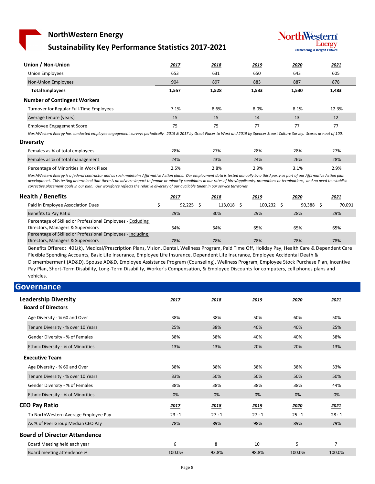#### **NorthWestern Energy Sustainability Key Performance Statistics 2017‐2021**



| Union / Non-Union                        | 2017  | 2018  | 2019  | 2020  | 2021  |
|------------------------------------------|-------|-------|-------|-------|-------|
| Union Employees                          | 653   | 631   | 650   | 643   | 605   |
| <b>Non-Union Employees</b>               | 904   | 897   | 883   | 887   | 878   |
| <b>Total Employees</b>                   | 1,557 | 1,528 | 1,533 | 1,530 | 1,483 |
| <b>Number of Contingent Workers</b>      |       |       |       |       |       |
| Turnover for Regular Full-Time Employees | 7.1%  | 8.6%  | 8.0%  | 8.1%  | 12.3% |
| Average tenure (years)                   | 15    | 15    | 14    | 13    | 12    |
| <b>Employee Engagement Score</b>         | 75    | 75    | 77    | 77    | 77    |

NorthWestern Energy has conducted employee engagement surveys periodically. 2015 & 2017 by Great Places to Work and 2019 by Spencer Stuart Culture Survey. Scores are out of 100.

**Diversity**

| Females as % of total employees        | 28%  | 27%  | 28%  | 28%  | 27%  |
|----------------------------------------|------|------|------|------|------|
| Females as % of total management       | 24%  | 23%  | 24%  | 26%  | 28%  |
| Percentage of Minorities in Work Place | 2.5% | 2.8% | 2.9% | 3.1% | 2.9% |

NorthWestern Energy is a federal contractor and as such maintains Affirmative Action plans. Our employment data is tested annually by a third party as part of our Affirmative Action plan development. This testing determined that there is no adverse impact to female or minority candidates in our rates of hires/applicants, promotions or terminations, and no need to establish corrective placement goals in our plan. Our workforce reflects the relative diversity of our available talent in our service territories.

| Health / Benefits                                           | <u> 2017</u> | <u> 2018 </u> | <u> 2019</u> | 2020   | <u> 2021</u> |
|-------------------------------------------------------------|--------------|---------------|--------------|--------|--------------|
| Paid in Employee Association Dues                           | 92.225       | 113.018       | 100.232      | 90.388 | 70.091       |
| Benefits to Pay Ratio                                       | 29%          | 30%           | 29%          | 28%    | 29%          |
| Percentage of Skilled or Professional Employees - Excluding |              |               |              |        |              |
| Directors, Managers & Supervisors                           | 64%          | 64%           | 65%          | 65%    | 65%          |
| Percentage of Skilled or Professional Employees - Including |              |               |              |        |              |
| Directors, Managers & Supervisors                           | 78%          | 78%           | 78%          | 78%    | 78%          |
|                                                             |              |               |              |        |              |

Benefits Offered: 401(k), Medical/Prescription Plans, Vision, Dental, Wellness Program, Paid Time Off, Holiday Pay, Health Care & Dependent Care Flexible Spending Accounts, Basic Life Insurance, Employee Life Insurance, Dependent Life Insurance, Employee Accidental Death & Dismemberment (AD&D), Spouse AD&D, Employee Assistance Program (Counseling), Wellness Program, Employee Stock Purchase Plan, Incentive Pay Plan, Short‐Term Disability, Long‐Term Disability, Worker's Compensation, & Employee Discounts for computers, cell phones plans and vehicles.

#### **Governance**

| <b>Leadership Diversity</b><br><b>Board of Directors</b> | 2017   | 2018  | 2019  | 2020   | 2021           |
|----------------------------------------------------------|--------|-------|-------|--------|----------------|
| Age Diversity - % 60 and Over                            | 38%    | 38%   | 50%   | 60%    | 50%            |
| Tenure Diversity - % over 10 Years                       | 25%    | 38%   | 40%   | 40%    | 25%            |
| Gender Diversity - % of Females                          | 38%    | 38%   | 40%   | 40%    | 38%            |
| Ethnic Diversity - % of Minorities                       | 13%    | 13%   | 20%   | 20%    | 13%            |
| <b>Executive Team</b>                                    |        |       |       |        |                |
| Age Diversity - % 60 and Over                            | 38%    | 38%   | 38%   | 38%    | 33%            |
| Tenure Diversity - % over 10 Years                       | 33%    | 50%   | 50%   | 50%    | 50%            |
| Gender Diversity - % of Females                          | 38%    | 38%   | 38%   | 38%    | 44%            |
| Ethnic Diversity - % of Minorities                       | 0%     | 0%    | 0%    | 0%     | 0%             |
| <b>CEO Pay Ratio</b>                                     | 2017   | 2018  | 2019  | 2020   | 2021           |
| To NorthWestern Average Employee Pay                     | 23:1   | 27:1  | 27:1  | 25:1   | 28:1           |
| As % of Peer Group Median CEO Pay                        | 78%    | 89%   | 98%   | 89%    | 79%            |
| <b>Board of Director Attendence</b>                      |        |       |       |        |                |
| Board Meeting held each year                             | 6      | 8     | 10    | 5      | $\overline{7}$ |
| Board meeting attendence %                               | 100.0% | 93.8% | 98.8% | 100.0% | 100.0%         |